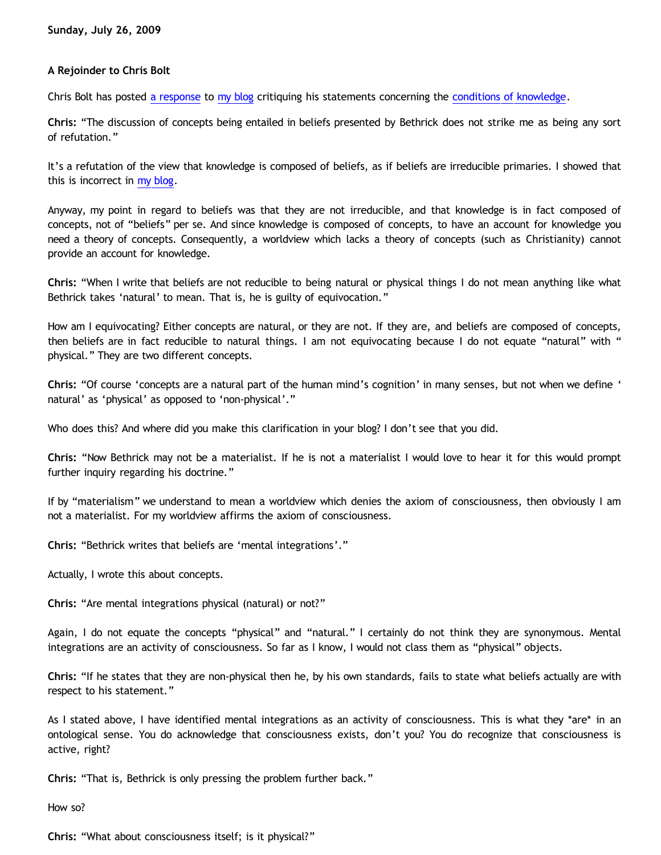# **A Rejoinder to Chris Bolt**

Chris Bolt has posted [a response](http://choosinghats.blogspot.com/2009/07/very-brief-response-to-bahnsen-burner.html) to [my blog](http://bahnsenburner.blogspot.com/2009/07/chris-bolt-on-conditions-of-knowledge.html) critiquing his statements concerning the [conditions of knowledge](http://choosinghats.blogspot.com/2009/07/conditions-of-knowledge.html).

**Chris:** "The discussion of concepts being entailed in beliefs presented by Bethrick does not strike me as being any sort of refutation."

It's a refutation of the view that knowledge is composed of beliefs, as if beliefs are irreducible primaries. I showed that this is incorrect in [my blog](http://bahnsenburner.blogspot.com/2009/07/chris-bolt-on-conditions-of-knowledge.html).

Anyway, my point in regard to beliefs was that they are not irreducible, and that knowledge is in fact composed of concepts, not of "beliefs" per se. And since knowledge is composed of concepts, to have an account for knowledge you need a theory of concepts. Consequently, a worldview which lacks a theory of concepts (such as Christianity) cannot provide an account for knowledge.

**Chris:** "When I write that beliefs are not reducible to being natural or physical things I do not mean anything like what Bethrick takes 'natural' to mean. That is, he is guilty of equivocation."

How am I equivocating? Either concepts are natural, or they are not. If they are, and beliefs are composed of concepts, then beliefs are in fact reducible to natural things. I am not equivocating because I do not equate "natural" with " physical." They are two different concepts.

**Chris:** "Of course 'concepts are a natural part of the human mind's cognition' in many senses, but not when we define ' natural' as 'physical' as opposed to 'non-physical'."

Who does this? And where did you make this clarification in your blog? I don't see that you did.

**Chris:** "Now Bethrick may not be a materialist. If he is not a materialist I would love to hear it for this would prompt further inquiry regarding his doctrine."

If by "materialism" we understand to mean a worldview which denies the axiom of consciousness, then obviously I am not a materialist. For my worldview affirms the axiom of consciousness.

**Chris:** "Bethrick writes that beliefs are 'mental integrations'."

Actually, I wrote this about concepts.

**Chris:** "Are mental integrations physical (natural) or not?"

Again, I do not equate the concepts "physical" and "natural." I certainly do not think they are synonymous. Mental integrations are an activity of consciousness. So far as I know, I would not class them as "physical" objects.

**Chris:** "If he states that they are non-physical then he, by his own standards, fails to state what beliefs actually are with respect to his statement."

As I stated above, I have identified mental integrations as an activity of consciousness. This is what they \*are\* in an ontological sense. You do acknowledge that consciousness exists, don't you? You do recognize that consciousness is active, right?

**Chris:** "That is, Bethrick is only pressing the problem further back."

How so?

**Chris:** "What about consciousness itself; is it physical?"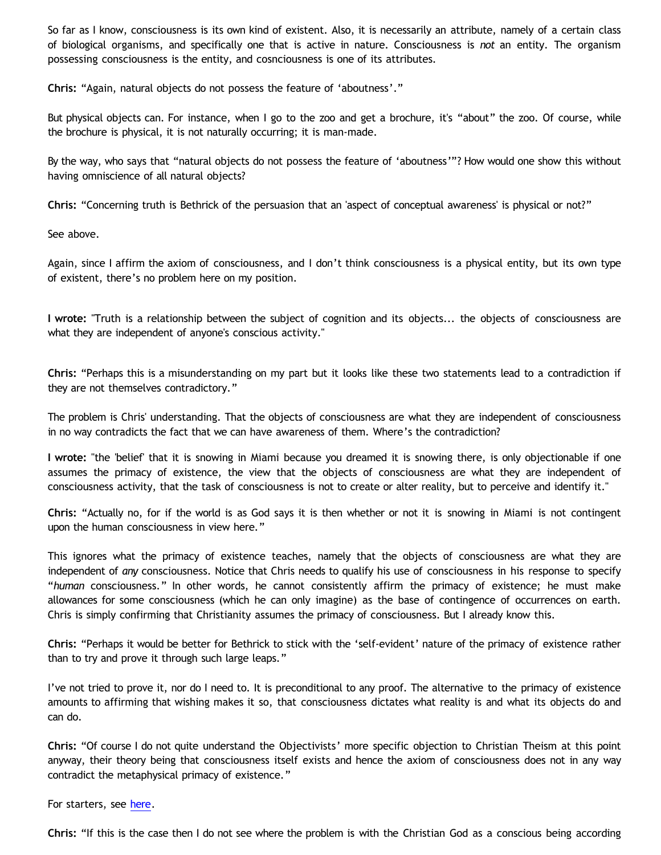So far as I know, consciousness is its own kind of existent. Also, it is necessarily an attribute, namely of a certain class of biological organisms, and specifically one that is active in nature. Consciousness is *not* an entity. The organism possessing consciousness is the entity, and cosnciousness is one of its attributes.

**Chris:** "Again, natural objects do not possess the feature of 'aboutness'."

But physical objects can. For instance, when I go to the zoo and get a brochure, it's "about" the zoo. Of course, while the brochure is physical, it is not naturally occurring; it is man-made.

By the way, who says that "natural objects do not possess the feature of 'aboutness'"? How would one show this without having omniscience of all natural objects?

**Chris:** "Concerning truth is Bethrick of the persuasion that an 'aspect of conceptual awareness' is physical or not?"

See above.

Again, since I affirm the axiom of consciousness, and I don't think consciousness is a physical entity, but its own type of existent, there's no problem here on my position.

**I wrote:** "Truth is a relationship between the subject of cognition and its objects... the objects of consciousness are what they are independent of anyone's conscious activity."

**Chris:** "Perhaps this is a misunderstanding on my part but it looks like these two statements lead to a contradiction if they are not themselves contradictory."

The problem is Chris' understanding. That the objects of consciousness are what they are independent of consciousness in no way contradicts the fact that we can have awareness of them. Where's the contradiction?

**I wrote:** "the 'belief' that it is snowing in Miami because you dreamed it is snowing there, is only objectionable if one assumes the primacy of existence, the view that the objects of consciousness are what they are independent of consciousness activity, that the task of consciousness is not to create or alter reality, but to perceive and identify it."

**Chris:** "Actually no, for if the world is as God says it is then whether or not it is snowing in Miami is not contingent upon the human consciousness in view here."

This ignores what the primacy of existence teaches, namely that the objects of consciousness are what they are independent of *any* consciousness. Notice that Chris needs to qualify his use of consciousness in his response to specify "*human* consciousness." In other words, he cannot consistently affirm the primacy of existence; he must make allowances for some consciousness (which he can only imagine) as the base of contingence of occurrences on earth. Chris is simply confirming that Christianity assumes the primacy of consciousness. But I already know this.

**Chris:** "Perhaps it would be better for Bethrick to stick with the 'self-evident' nature of the primacy of existence rather than to try and prove it through such large leaps."

I've not tried to prove it, nor do I need to. It is preconditional to any proof. The alternative to the primacy of existence amounts to affirming that wishing makes it so, that consciousness dictates what reality is and what its objects do and can do.

**Chris:** "Of course I do not quite understand the Objectivists' more specific objection to Christian Theism at this point anyway, their theory being that consciousness itself exists and hence the axiom of consciousness does not in any way contradict the metaphysical primacy of existence."

For starters, see [here](http://bahnsenburner.blogspot.com/2006/12/axioms-and-primacy-of-existence.html).

**Chris:** "If this is the case then I do not see where the problem is with the Christian God as a conscious being according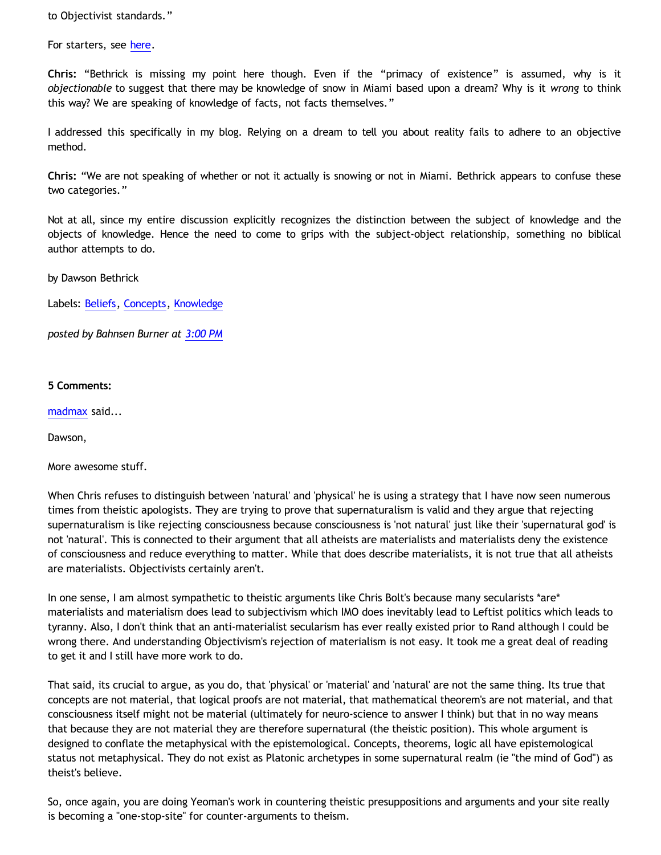to Objectivist standards."

For starters, see [here](http://bahnsenburner.blogspot.com/2008/12/inherent-subjectivism-of-god-belief.html).

**Chris:** "Bethrick is missing my point here though. Even if the "primacy of existence" is assumed, why is it *objectionable* to suggest that there may be knowledge of snow in Miami based upon a dream? Why is it *wrong* to think this way? We are speaking of knowledge of facts, not facts themselves."

I addressed this specifically in my blog. Relying on a dream to tell you about reality fails to adhere to an objective method.

**Chris:** "We are not speaking of whether or not it actually is snowing or not in Miami. Bethrick appears to confuse these two categories."

Not at all, since my entire discussion explicitly recognizes the distinction between the subject of knowledge and the objects of knowledge. Hence the need to come to grips with the subject-object relationship, something no biblical author attempts to do.

by Dawson Bethrick

Labels: [Beliefs](http://bahnsenburner.blogspot.com/search/label/Beliefs), [Concepts](http://bahnsenburner.blogspot.com/search/label/Concepts), [Knowledge](http://bahnsenburner.blogspot.com/search/label/Knowledge)

*posted by Bahnsen Burner at [3:00 PM](http://bahnsenburner.blogspot.com/2009/07/rejoinder-to-chris-bolt.html)*

### **5 Comments:**

[madmax](http://www.blogger.com/profile/14375140131881725965) said...

Dawson,

More awesome stuff.

When Chris refuses to distinguish between 'natural' and 'physical' he is using a strategy that I have now seen numerous times from theistic apologists. They are trying to prove that supernaturalism is valid and they argue that rejecting supernaturalism is like rejecting consciousness because consciousness is 'not natural' just like their 'supernatural god' is not 'natural'. This is connected to their argument that all atheists are materialists and materialists deny the existence of consciousness and reduce everything to matter. While that does describe materialists, it is not true that all atheists are materialists. Objectivists certainly aren't.

In one sense, I am almost sympathetic to theistic arguments like Chris Bolt's because many secularists \*are\* materialists and materialism does lead to subjectivism which IMO does inevitably lead to Leftist politics which leads to tyranny. Also, I don't think that an anti-materialist secularism has ever really existed prior to Rand although I could be wrong there. And understanding Objectivism's rejection of materialism is not easy. It took me a great deal of reading to get it and I still have more work to do.

That said, its crucial to argue, as you do, that 'physical' or 'material' and 'natural' are not the same thing. Its true that concepts are not material, that logical proofs are not material, that mathematical theorem's are not material, and that consciousness itself might not be material (ultimately for neuro-science to answer I think) but that in no way means that because they are not material they are therefore supernatural (the theistic position). This whole argument is designed to conflate the metaphysical with the epistemological. Concepts, theorems, logic all have epistemological status not metaphysical. They do not exist as Platonic archetypes in some supernatural realm (ie "the mind of God") as theist's believe.

So, once again, you are doing Yeoman's work in countering theistic presuppositions and arguments and your site really is becoming a "one-stop-site" for counter-arguments to theism.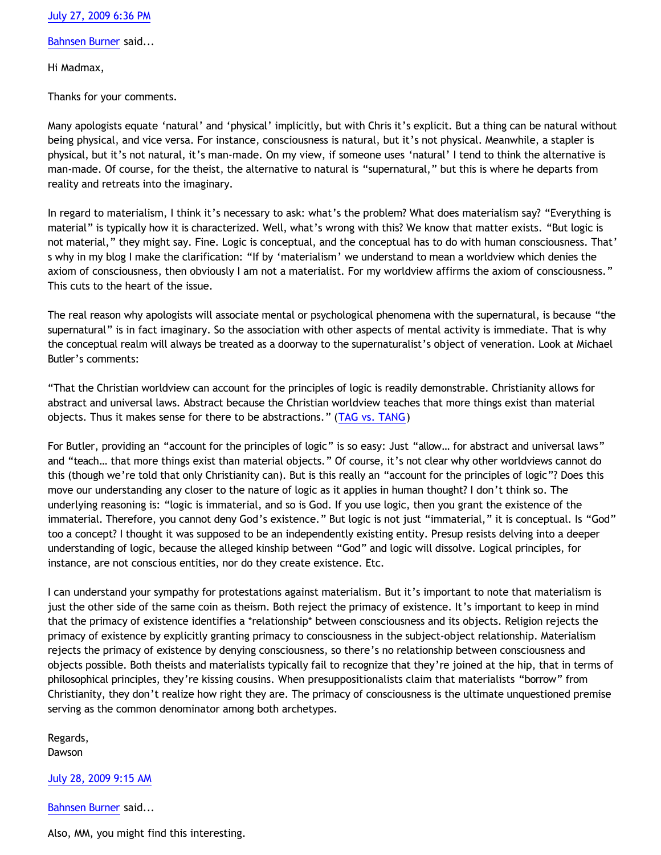[July 27, 2009 6:36 PM](http://bahnsenburner.blogspot.com/2009/07/3507625679493544461)

[Bahnsen Burner](http://www.blogger.com/profile/11030029491768748360) said...

Hi Madmax,

Thanks for your comments.

Many apologists equate 'natural' and 'physical' implicitly, but with Chris it's explicit. But a thing can be natural without being physical, and vice versa. For instance, consciousness is natural, but it's not physical. Meanwhile, a stapler is physical, but it's not natural, it's man-made. On my view, if someone uses 'natural' I tend to think the alternative is man-made. Of course, for the theist, the alternative to natural is "supernatural," but this is where he departs from reality and retreats into the imaginary.

In regard to materialism, I think it's necessary to ask: what's the problem? What does materialism say? "Everything is material" is typically how it is characterized. Well, what's wrong with this? We know that matter exists. "But logic is not material," they might say. Fine. Logic is conceptual, and the conceptual has to do with human consciousness. That' s why in my blog I make the clarification: "If by 'materialism' we understand to mean a worldview which denies the axiom of consciousness, then obviously I am not a materialist. For my worldview affirms the axiom of consciousness." This cuts to the heart of the issue.

The real reason why apologists will associate mental or psychological phenomena with the supernatural, is because "the supernatural" is in fact imaginary. So the association with other aspects of mental activity is immediate. That is why the conceptual realm will always be treated as a doorway to the supernaturalist's object of veneration. Look at Michael Butler's comments:

"That the Christian worldview can account for the principles of logic is readily demonstrable. Christianity allows for abstract and universal laws. Abstract because the Christian worldview teaches that more things exist than material objects. Thus it makes sense for there to be abstractions." ([TAG vs. TANG](http://www.reformed.org/master/index.html?mainframe=/apologetics/martin/pen896.html))

For Butler, providing an "account for the principles of logic" is so easy: Just "allow... for abstract and universal laws" and "teach… that more things exist than material objects." Of course, it's not clear why other worldviews cannot do this (though we're told that only Christianity can). But is this really an "account for the principles of logic"? Does this move our understanding any closer to the nature of logic as it applies in human thought? I don't think so. The underlying reasoning is: "logic is immaterial, and so is God. If you use logic, then you grant the existence of the immaterial. Therefore, you cannot deny God's existence." But logic is not just "immaterial," it is conceptual. Is "God" too a concept? I thought it was supposed to be an independently existing entity. Presup resists delving into a deeper understanding of logic, because the alleged kinship between "God" and logic will dissolve. Logical principles, for instance, are not conscious entities, nor do they create existence. Etc.

I can understand your sympathy for protestations against materialism. But it's important to note that materialism is just the other side of the same coin as theism. Both reject the primacy of existence. It's important to keep in mind that the primacy of existence identifies a \*relationship\* between consciousness and its objects. Religion rejects the primacy of existence by explicitly granting primacy to consciousness in the subject-object relationship. Materialism rejects the primacy of existence by denying consciousness, so there's no relationship between consciousness and objects possible. Both theists and materialists typically fail to recognize that they're joined at the hip, that in terms of philosophical principles, they're kissing cousins. When presuppositionalists claim that materialists "borrow" from Christianity, they don't realize how right they are. The primacy of consciousness is the ultimate unquestioned premise serving as the common denominator among both archetypes.

Regards, **Dawson** 

[July 28, 2009 9:15 AM](http://bahnsenburner.blogspot.com/2009/07/5611984912890815934)

[Bahnsen Burner](http://www.blogger.com/profile/11030029491768748360) said...

Also, MM, you might find this interesting.